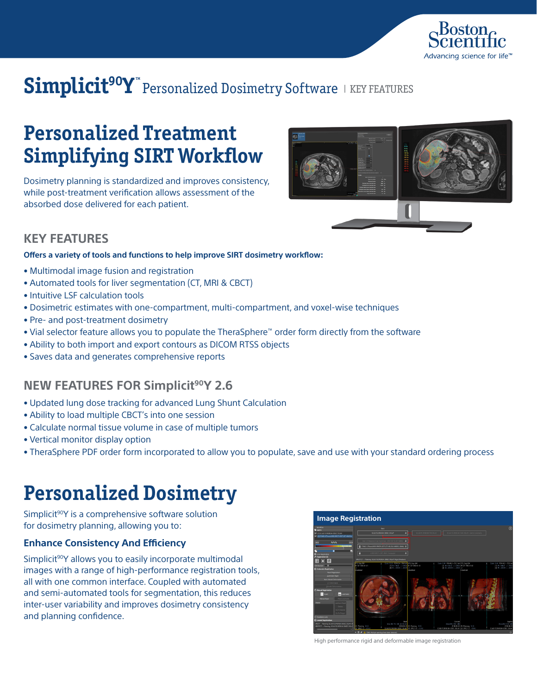

# Simplicit<sup>90</sup>Y™ Personalized Dosimetry Software IKEY FEATURES

# **Personalized Treatment Simplifying SIRT Workflow**

Dosimetry planning is standardized and improves consistency, while post-treatment verification allows assessment of the absorbed dose delivered for each patient.



## **KEY FEATURES**

### **Offers a variety of tools and functions to help improve SIRT dosimetry workflow:**

- Multimodal image fusion and registration
- Automated tools for liver segmentation (CT, MRI & CBCT)
- Intuitive LSF calculation tools
- Dosimetric estimates with one-compartment, multi-compartment, and voxel-wise techniques
- Pre- and post-treatment dosimetry
- Vial selector feature allows you to populate the TheraSphere™ order form directly from the software
- Ability to both import and export contours as DICOM RTSS objects
- Saves data and generates comprehensive reports

## **NEW FEATURES FOR Simplicit90Y 2.6**

- Updated lung dose tracking for advanced Lung Shunt Calculation
- Ability to load multiple CBCT's into one session
- Calculate normal tissue volume in case of multiple tumors
- Vertical monitor display option
- TheraSphere PDF order form incorporated to allow you to populate, save and use with your standard ordering process

## **Personalized Dosimetry**

Simplicit<sup>90</sup>Y is a comprehensive software solution for dosimetry planning, allowing you to:

### **Enhance Consistency And Efficiency**

Simplicit<sup>90</sup>Y allows you to easily incorporate multimodal images with a range of high-performance registration tools, all with one common interface. Coupled with automated and semi-automated tools for segmentation, this reduces inter-user variability and improves dosimetry consistency and planning confidence.



High performance rigid and deformable image registration